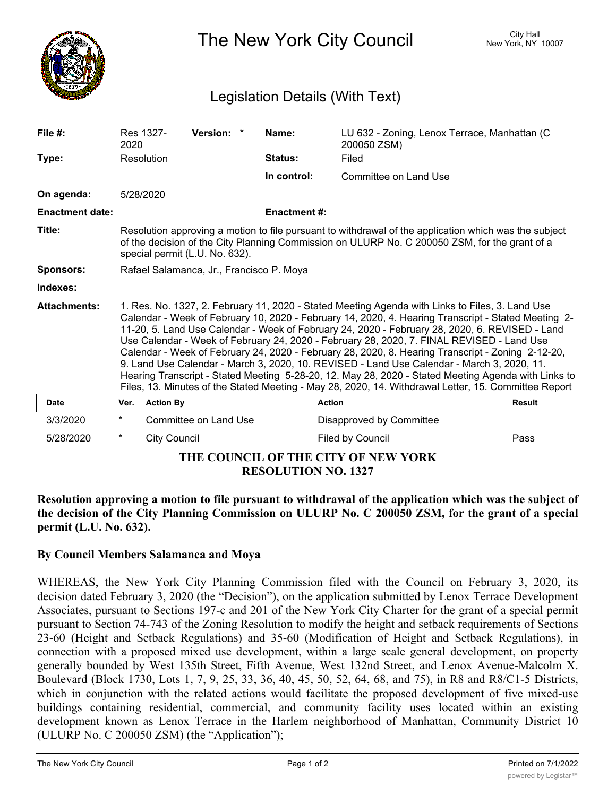

The New York City Council New York, NY 10007

## Legislation Details (With Text)

| File $#$ :                                                  | Res 1327-<br>2020                                                                                                                                                                                                                                                                                                                                                                                                                                                                                                                                                                                                                                                                                                                                                                                                       |                     | Version: *            |  | Name:               | LU 632 - Zoning, Lenox Terrace, Manhattan (C<br>200050 ZSM) |               |
|-------------------------------------------------------------|-------------------------------------------------------------------------------------------------------------------------------------------------------------------------------------------------------------------------------------------------------------------------------------------------------------------------------------------------------------------------------------------------------------------------------------------------------------------------------------------------------------------------------------------------------------------------------------------------------------------------------------------------------------------------------------------------------------------------------------------------------------------------------------------------------------------------|---------------------|-----------------------|--|---------------------|-------------------------------------------------------------|---------------|
| Type:                                                       | Resolution                                                                                                                                                                                                                                                                                                                                                                                                                                                                                                                                                                                                                                                                                                                                                                                                              |                     |                       |  | Status:             | Filed                                                       |               |
|                                                             |                                                                                                                                                                                                                                                                                                                                                                                                                                                                                                                                                                                                                                                                                                                                                                                                                         |                     |                       |  | In control:         | Committee on Land Use                                       |               |
| On agenda:                                                  | 5/28/2020                                                                                                                                                                                                                                                                                                                                                                                                                                                                                                                                                                                                                                                                                                                                                                                                               |                     |                       |  |                     |                                                             |               |
| <b>Enactment date:</b>                                      |                                                                                                                                                                                                                                                                                                                                                                                                                                                                                                                                                                                                                                                                                                                                                                                                                         |                     |                       |  | <b>Enactment #:</b> |                                                             |               |
| Title:                                                      | Resolution approving a motion to file pursuant to withdrawal of the application which was the subject<br>of the decision of the City Planning Commission on ULURP No. C 200050 ZSM, for the grant of a<br>special permit (L.U. No. 632).                                                                                                                                                                                                                                                                                                                                                                                                                                                                                                                                                                                |                     |                       |  |                     |                                                             |               |
| <b>Sponsors:</b>                                            | Rafael Salamanca, Jr., Francisco P. Moya                                                                                                                                                                                                                                                                                                                                                                                                                                                                                                                                                                                                                                                                                                                                                                                |                     |                       |  |                     |                                                             |               |
| Indexes:                                                    |                                                                                                                                                                                                                                                                                                                                                                                                                                                                                                                                                                                                                                                                                                                                                                                                                         |                     |                       |  |                     |                                                             |               |
| <b>Attachments:</b>                                         | 1. Res. No. 1327, 2. February 11, 2020 - Stated Meeting Agenda with Links to Files, 3. Land Use<br>Calendar - Week of February 10, 2020 - February 14, 2020, 4. Hearing Transcript - Stated Meeting 2-<br>11-20, 5. Land Use Calendar - Week of February 24, 2020 - February 28, 2020, 6. REVISED - Land<br>Use Calendar - Week of February 24, 2020 - February 28, 2020, 7. FINAL REVISED - Land Use<br>Calendar - Week of February 24, 2020 - February 28, 2020, 8. Hearing Transcript - Zoning 2-12-20,<br>9. Land Use Calendar - March 3, 2020, 10. REVISED - Land Use Calendar - March 3, 2020, 11.<br>Hearing Transcript - Stated Meeting 5-28-20, 12. May 28, 2020 - Stated Meeting Agenda with Links to<br>Files, 13. Minutes of the Stated Meeting - May 28, 2020, 14. Withdrawal Letter, 15. Committee Report |                     |                       |  |                     |                                                             |               |
| <b>Date</b>                                                 | Ver.                                                                                                                                                                                                                                                                                                                                                                                                                                                                                                                                                                                                                                                                                                                                                                                                                    | <b>Action By</b>    |                       |  | <b>Action</b>       |                                                             | <b>Result</b> |
| 3/3/2020                                                    | $^\star$                                                                                                                                                                                                                                                                                                                                                                                                                                                                                                                                                                                                                                                                                                                                                                                                                |                     | Committee on Land Use |  |                     | Disapproved by Committee                                    |               |
| 5/28/2020                                                   | $^\star$                                                                                                                                                                                                                                                                                                                                                                                                                                                                                                                                                                                                                                                                                                                                                                                                                | <b>City Council</b> |                       |  |                     | Filed by Council                                            | Pass          |
| THE COUNCIL OF THE CITY OF NEW YORK<br>REGAL LITIAN NA 1985 |                                                                                                                                                                                                                                                                                                                                                                                                                                                                                                                                                                                                                                                                                                                                                                                                                         |                     |                       |  |                     |                                                             |               |

**RESOLUTION NO. 1327**

**Resolution approving a motion to file pursuant to withdrawal of the application which was the subject of** the decision of the City Planning Commission on ULURP No. C 200050 ZSM, for the grant of a special **permit (L.U. No. 632).**

## **By Council Members Salamanca and Moya**

WHEREAS, the New York City Planning Commission filed with the Council on February 3, 2020, its decision dated February 3, 2020 (the "Decision"), on the application submitted by Lenox Terrace Development Associates, pursuant to Sections 197-c and 201 of the New York City Charter for the grant of a special permit pursuant to Section 74-743 of the Zoning Resolution to modify the height and setback requirements of Sections 23-60 (Height and Setback Regulations) and 35-60 (Modification of Height and Setback Regulations), in connection with a proposed mixed use development, within a large scale general development, on property generally bounded by West 135th Street, Fifth Avenue, West 132nd Street, and Lenox Avenue-Malcolm X. Boulevard (Block 1730, Lots 1, 7, 9, 25, 33, 36, 40, 45, 50, 52, 64, 68, and 75), in R8 and R8/C1-5 Districts, which in conjunction with the related actions would facilitate the proposed development of five mixed-use buildings containing residential, commercial, and community facility uses located within an existing development known as Lenox Terrace in the Harlem neighborhood of Manhattan, Community District 10 (ULURP No. C 200050 ZSM) (the "Application");